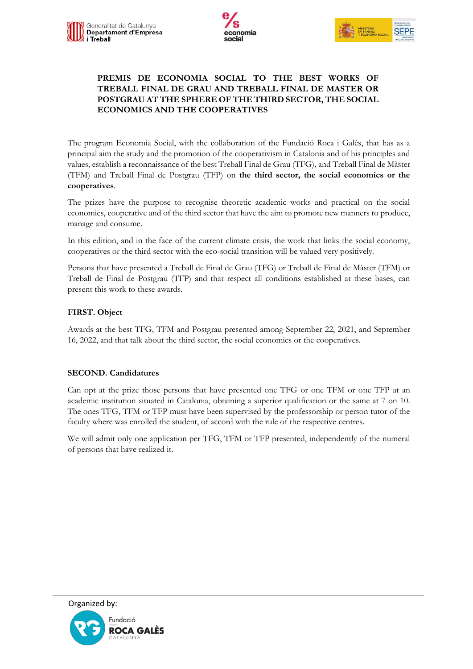



# **PREMIS DE ECONOMIA SOCIAL TO THE BEST WORKS OF TREBALL FINAL DE GRAU AND TREBALL FINAL DE MASTER OR POSTGRAU AT THE SPHERE OF THE THIRD SECTOR, THE SOCIAL ECONOMICS AND THE COOPERATIVES**

The program Economia Social, with the collaboration of the Fundació Roca i Galès, that has as a principal aim the study and the promotion of the cooperativism in Catalonia and of his principles and values, establish a reconnaissance of the best Treball Final de Grau (TFG), and Treball Final de Màster (TFM) and Treball Final de Postgrau (TFP) on **the third sector, the social economics or the cooperatives**.

The prizes have the purpose to recognise theoretic academic works and practical on the social economics, cooperative and of the third sector that have the aim to promote new manners to produce, manage and consume.

In this edition, and in the face of the current climate crisis, the work that links the social economy, cooperatives or the third sector with the eco-social transition will be valued very positively.

Persons that have presented a Treball de Final de Grau (TFG) or Treball de Final de Màster (TFM) or Treball de Final de Postgrau (TFP) and that respect all conditions established at these bases, can present this work to these awards.

## **FIRST. Object**

Awards at the best TFG, TFM and Postgrau presented among September 22, 2021, and September 16, 2022, and that talk about the third sector, the social economics or the cooperatives.

### **SECOND. Candidatures**

Can opt at the prize those persons that have presented one TFG or one TFM or one TFP at an academic institution situated in Catalonia, obtaining a superior qualification or the same at 7 on 10. The ones TFG, TFM or TFP must have been supervised by the professorship or person tutor of the faculty where was enrolled the student, of accord with the rule of the respective centres.

We will admit only one application per TFG, TFM or TFP presented, independently of the numeral of persons that have realized it.

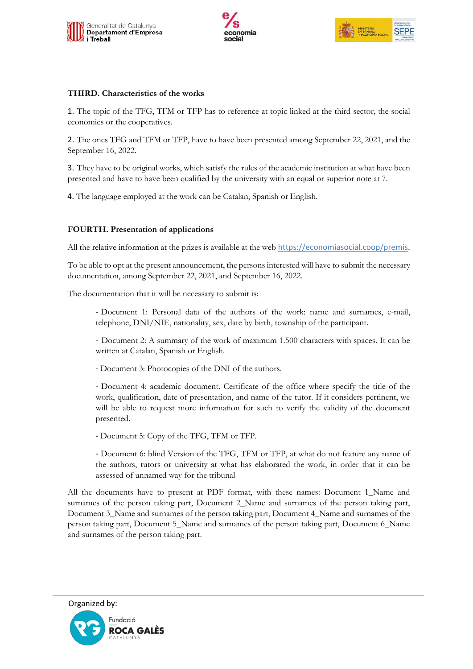





#### **THIRD. Characteristics of the works**

1. The topic of the TFG, TFM or TFP has to reference at topic linked at the third sector, the social economics or the cooperatives.

2. The ones TFG and TFM or TFP, have to have been presented among September 22, 2021, and the September 16, 2022.

3. They have to be original works, which satisfy the rules of the academic institution at what have been presented and have to have been qualified by the university with an equal or superior note at 7.

4. The language employed at the work can be Catalan, Spanish or English.

### **FOURTH. Presentation of applications**

All the relative information at the prizes is available at the web [https://economiasocial.coop/premis.](https://economiasocial.coop/premis)

To be able to opt at the present announcement, the persons interested will have to submit the necessary documentation, among September 22, 2021, and September 16, 2022.

The documentation that it will be necessary to submit is:

- Document 1: Personal data of the authors of the work: name and surnames, e-mail, telephone, DNI/NIE, nationality, sex, date by birth, township of the participant.

- Document 2: A summary of the work of maximum 1.500 characters with spaces. It can be written at Catalan, Spanish or English.

- Document 3: Photocopies of the DNI of the authors.

- Document 4: academic document. Certificate of the office where specify the title of the work, qualification, date of presentation, and name of the tutor. If it considers pertinent, we will be able to request more information for such to verify the validity of the document presented.

- Document 5: Copy of the TFG, TFM or TFP.

- Document 6: blind Version of the TFG, TFM or TFP, at what do not feature any name of the authors, tutors or university at what has elaborated the work, in order that it can be assessed of unnamed way for the tribunal

All the documents have to present at PDF format, with these names: Document 1\_Name and surnames of the person taking part, Document 2 Name and surnames of the person taking part, Document 3\_Name and surnames of the person taking part, Document 4\_Name and surnames of the person taking part, Document 5\_Name and surnames of the person taking part, Document 6\_Name and surnames of the person taking part.

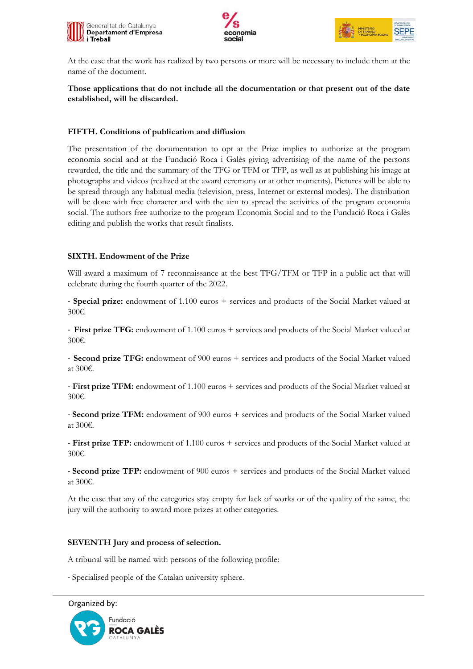





At the case that the work has realized by two persons or more will be necessary to include them at the name of the document.

## **Those applications that do not include all the documentation or that present out of the date established, will be discarded.**

## **FIFTH. Conditions of publication and diffusion**

The presentation of the documentation to opt at the Prize implies to authorize at the program economia social and at the Fundació Roca i Galès giving advertising of the name of the persons rewarded, the title and the summary of the TFG or TFM or TFP, as well as at publishing his image at photographs and videos (realized at the award ceremony or at other moments). Pictures will be able to be spread through any habitual media (television, press, Internet or external modes). The distribution will be done with free character and with the aim to spread the activities of the program economia social. The authors free authorize to the program Economia Social and to the Fundació Roca i Galès editing and publish the works that result finalists.

## **SIXTH. Endowment of the Prize**

Will award a maximum of 7 reconnaissance at the best TFG/TFM or TFP in a public act that will celebrate during the fourth quarter of the 2022.

- **Special prize:** endowment of 1.100 euros + services and products of the Social Market valued at 300€.

- **First prize TFG:** endowment of 1.100 euros + services and products of the Social Market valued at 300€.

- **Second prize TFG:** endowment of 900 euros + services and products of the Social Market valued at 300€.

- **First prize TFM:** endowment of 1.100 euros + services and products of the Social Market valued at 300€.

- **Second prize TFM:** endowment of 900 euros + services and products of the Social Market valued at 300€.

- **First prize TFP:** endowment of 1.100 euros + services and products of the Social Market valued at 300€.

- **Second prize TFP:** endowment of 900 euros + services and products of the Social Market valued at 300€.

At the case that any of the categories stay empty for lack of works or of the quality of the same, the jury will the authority to award more prizes at other categories.

### **SEVENTH Jury and process of selection.**

A tribunal will be named with persons of the following profile:

- Specialised people of the Catalan university sphere.